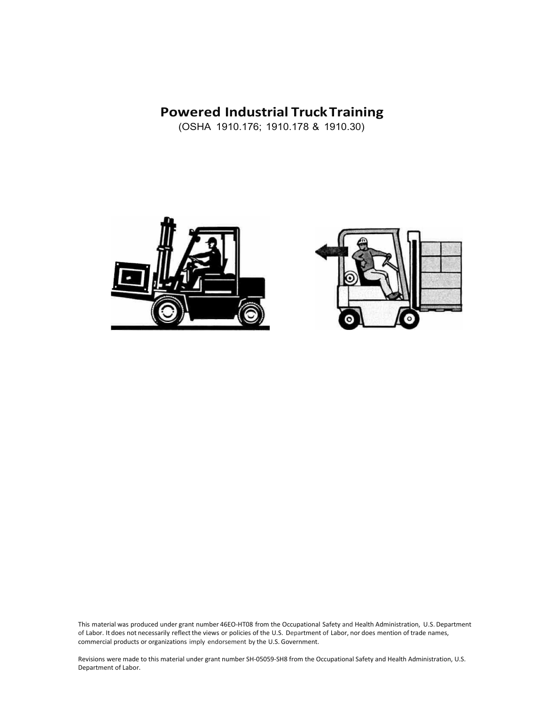# **Powered Industrial Truck Training**

(OSHA 1910.176; 1910.178 & 1910.30)





This material was produced under grant number 46EO-HT08 from the Occupational Safety and Health Administration, U.S. Department of Labor. It does not necessarily reflectthe views or policies of the U.S. Department of Labor, nor does mention of trade names, commercial products or organizations imply endorsement by the U.S. Government.

Revisions were made to this material under grant number SH-05059-SH8 from the Occupational Safety and Health Administration, U.S. Department of Labor.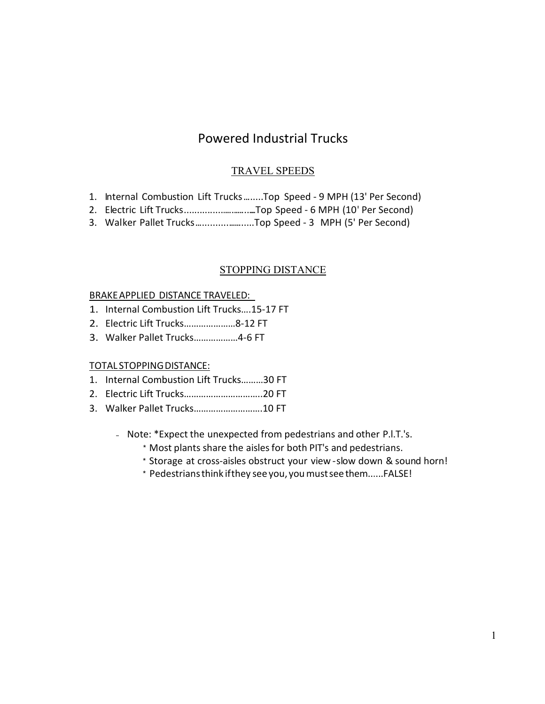# Powered Industrial Trucks

### TRAVEL SPEEDS

- 1. Internal Combustion Lift Trucks........Top Speed 9 MPH (13' Per Second)
- 2. Electric Lift Trucks...............................Top Speed 6 MPH (10' Per Second)
- 3. Walker Pallet Trucks........................Top Speed 3 MPH (5' Per Second)

### STOPPING DISTANCE

#### BRAKEAPPLIED DISTANCE TRAVELED:

- 1. Internal Combustion Lift Trucks….15-17 FT
- 2. Electric Lift Trucks…………………8-12 FT
- 3. Walker Pallet Trucks………………4-6 FT

### TOTAL STOPPING DISTANCE:

- 1. Internal Combustion Lift Trucks………30 FT
- 2. Electric Lift Trucks…………………………..20 FT
- 3. Walker Pallet Trucks……………………….10 FT
	- Note: \*Expect the unexpected from pedestrians and other P.l.T.'s.
		- \* Most plants share the aislesfor both PIT's and pedestrians.
		- \* Storage at cross-aisles obstruct your view slow down & sound horn!
		- \* Pedestriansthink ifthey see you, youmustseethem......FALSE!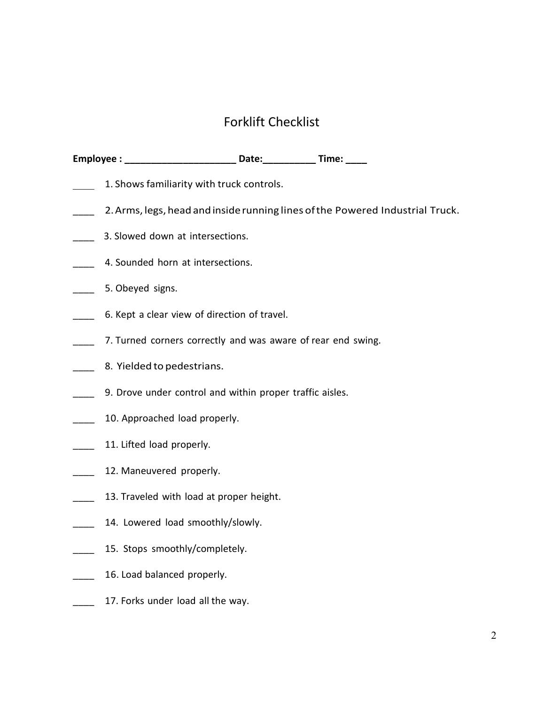# Forklift Checklist

|                          | Employee : _____________________________ Date:______________ Time: _____      |
|--------------------------|-------------------------------------------------------------------------------|
|                          | 1. Shows familiarity with truck controls.                                     |
|                          | 2. Arms, legs, head and inside running lines of the Powered Industrial Truck. |
|                          | 3. Slowed down at intersections.                                              |
|                          | 4. Sounded horn at intersections.                                             |
|                          | 5. Obeyed signs.                                                              |
|                          | 6. Kept a clear view of direction of travel.                                  |
|                          | 7. Turned corners correctly and was aware of rear end swing.                  |
|                          | 8. Yielded to pedestrians.                                                    |
|                          | 9. Drove under control and within proper traffic aisles.                      |
|                          | 10. Approached load properly.                                                 |
|                          | 11. Lifted load properly.                                                     |
|                          | 12. Maneuvered properly.                                                      |
| $\overline{\phantom{a}}$ | 13. Traveled with load at proper height.                                      |
|                          | 14. Lowered load smoothly/slowly.                                             |
|                          | 15. Stops smoothly/completely.                                                |
|                          | 16. Load balanced properly.                                                   |
|                          | 17. Forks under load all the way.                                             |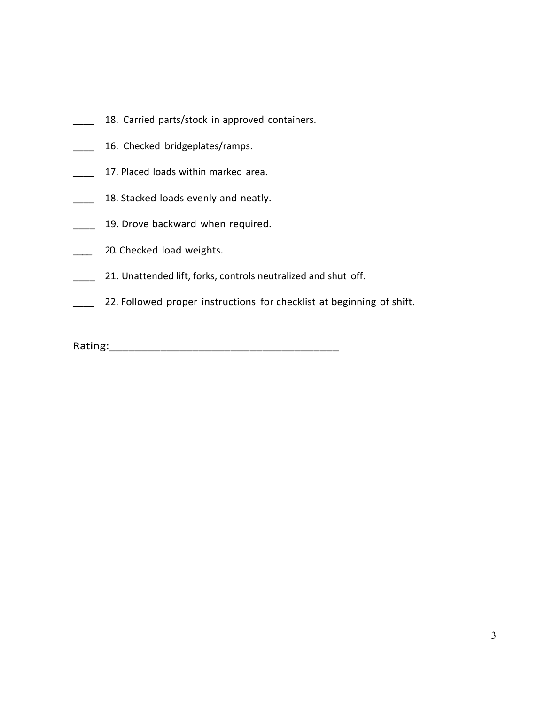- 18. Carried parts/stock in approved containers.
- \_\_\_\_ 16. Checked bridgeplates/ramps.
- 17. Placed loads within marked area.
- \_\_\_\_ 18. Stacked loads evenly and neatly.
- **19. Drove backward when required.**
- 20. Checked load weights.
- **\_\_\_\_** 21. Unattended lift, forks, controls neutralized and shut off.
- **22. Followed proper instructions for checklist at beginning of shift.**

Rating:\_\_\_\_\_\_\_\_\_\_\_\_\_\_\_\_\_\_\_\_\_\_\_\_\_\_\_\_\_\_\_\_\_\_\_\_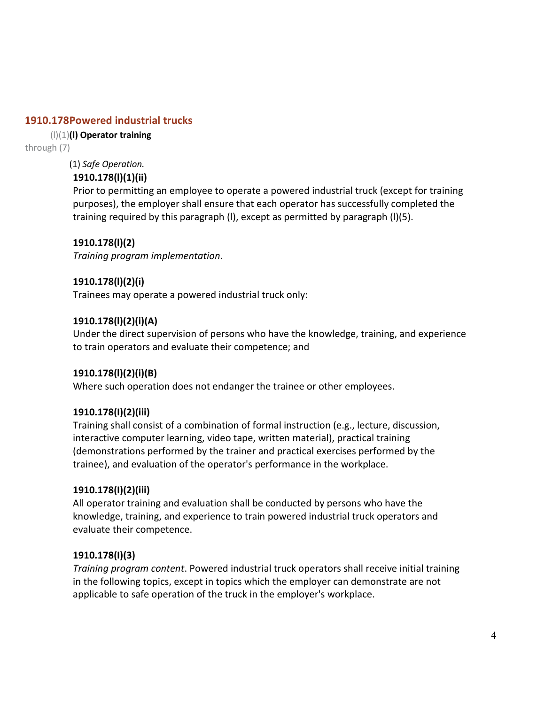# **1910.178 Powered industrial trucks**

#### (l)(1) **(l) Operator training**

through (7)

(1) *Safe Operation.*

## **1910.178(l)(1)(ii)**

Prior to permitting an employee to operate a powered industrial truck (except for training purposes), the employer shall ensure that each operator has successfully completed the training required by this paragraph (l), except as permitted by paragraph (l)(5).

# **1910.178(l)(2)**

*Training program implementation*.

### **1910.178(l)(2)(i)**

Trainees may operate a powered industrial truck only:

### **1910.178(l)(2)(i)(A)**

Under the direct supervision of persons who have the knowledge, training, and experience to train operators and evaluate their competence; and

### **1910.178(l)(2)(i)(B)**

Where such operation does not endanger the trainee or other employees.

### **1910.178(I)(2)(iii)**

Training shall consist of a combination of formal instruction (e.g., lecture, discussion, interactive computer learning, video tape, written material), practical training (demonstrations performed by the trainer and practical exercises performed by the trainee), and evaluation of the operator's performance in the workplace.

### **1910.178(I)(2)(iii)**

All operator training and evaluation shall be conducted by persons who have the knowledge, training, and experience to train powered industrial truck operators and evaluate their competence.

### **1910.178(I)(3)**

*Training program content*. Powered industrial truck operators shall receive initial training in the following topics, except in topics which the employer can demonstrate are not applicable to safe operation of the truck in the employer's workplace.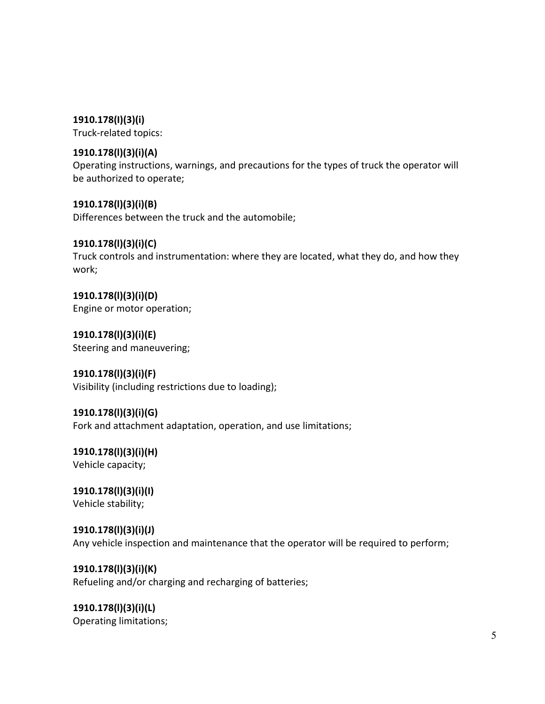**1910.178(I)(3)(i)**

Truck-related topics:

#### **1910.178(l)(3)(i)(A)**

Operating instructions, warnings, and precautions for the types of truck the operator will be authorized to operate;

**1910.178(l)(3)(i)(B)**

Differences between the truck and the automobile;

### **1910.178(l)(3)(i)(C)**

Truck controls and instrumentation: where they are located, what they do, and how they work;

**1910.178(l)(3)(i)(D)** Engine or motor operation;

**1910.178(l)(3)(i)(E)** Steering and maneuvering;

**1910.178(l)(3)(i)(F)** Visibility (including restrictions due to loading);

### **1910.178(l)(3)(i)(G)**

Fork and attachment adaptation, operation, and use limitations;

**1910.178(l)(3)(i)(H)** Vehicle capacity;

**1910.178(l)(3)(i)(I)** Vehicle stability;

**1910.178(l)(3)(i)(J)** Any vehicle inspection and maintenance that the operator will be required to perform;

**1910.178(l)(3)(i)(K)** Refueling and/or charging and recharging of batteries;

**1910.178(l)(3)(i)(L)** Operating limitations;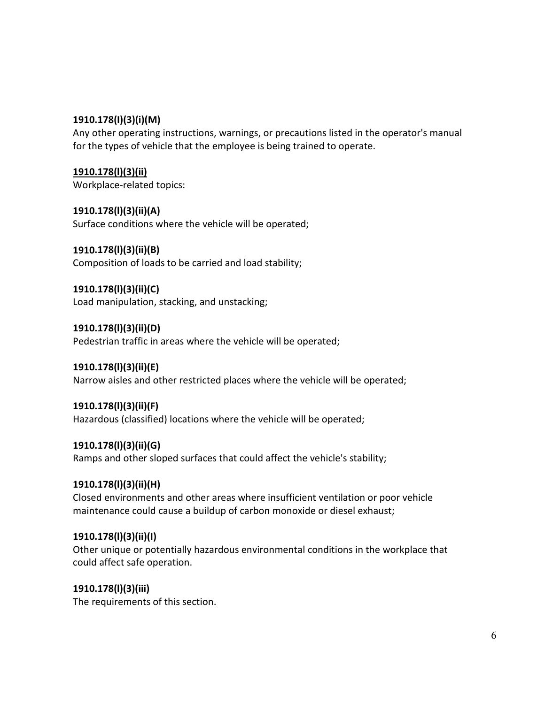#### **1910.178(I)(3)(i)(M)**

Any other operating instructions, warnings, or precautions listed in the operator's manual for the types of vehicle that the employee is being trained to operate.

**[1910.178\(l\)\(3\)\(ii\)](https://www.osha.gov/pls/oshaweb/owalink.query_links?src_doc_type=STANDARDS&src_unique_file=1910_0178&src_anchor_name=1910.178(l)(3)(ii))** Workplace-related topics:

**1910.178(l)(3)(ii)(A)** Surface conditions where the vehicle will be operated;

**1910.178(l)(3)(ii)(B)** Composition of loads to be carried and load stability;

**1910.178(l)(3)(ii)(C)** Load manipulation, stacking, and unstacking;

**1910.178(l)(3)(ii)(D)** Pedestrian traffic in areas where the vehicle will be operated;

**1910.178(l)(3)(ii)(E)** Narrow aisles and other restricted places where the vehicle will be operated;

**1910.178(l)(3)(ii)(F)** Hazardous (classified) locations where the vehicle will be operated;

**1910.178(l)(3)(ii)(G)** Ramps and other sloped surfaces that could affect the vehicle's stability;

#### **1910.178(l)(3)(ii)(H)**

Closed environments and other areas where insufficient ventilation or poor vehicle maintenance could cause a buildup of carbon monoxide or diesel exhaust;

#### **1910.178(l)(3)(ii)(I)**

Other unique or potentially hazardous environmental conditions in the workplace that could affect safe operation.

**1910.178(l)(3)(iii)**

The requirements of this section.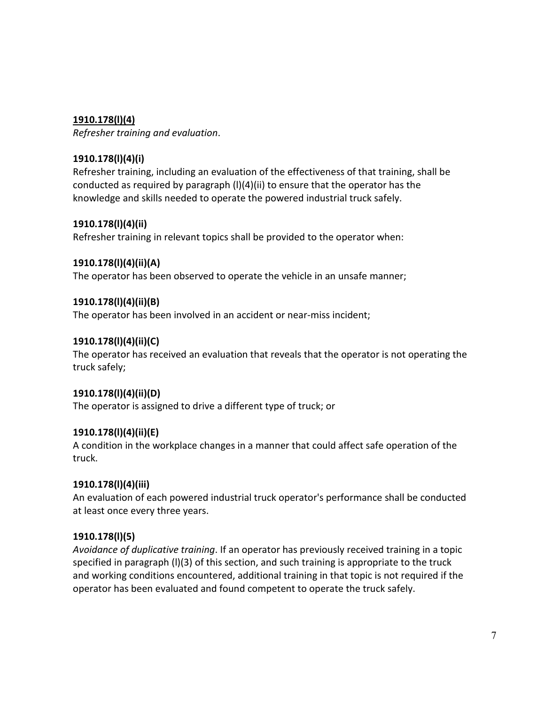# **1910.178(l)(4)**

*Refresher training and evaluation*.

# **1910.178(l)(4)(i)**

Refresher training, including an evaluation of the effectiveness of that training, shall be conducted as required by paragraph (l)(4)(ii) to ensure that the operator has the knowledge and skills needed to operate the powered industrial truck safely.

### **1910.178(l)(4)(ii)**

Refresher training in relevant topics shall be provided to the operator when:

# **1910.178(l)(4)(ii)(A)**

The operator has been observed to operate the vehicle in an unsafe manner;

# **1910.178(l)(4)(ii)(B)**

The operator has been involved in an accident or near-miss incident;

# **1910.178(l)(4)(ii)(C)**

The operator has received an evaluation that reveals that the operator is not operating the truck safely;

### **1910.178(l)(4)(ii)(D)**

The operator is assigned to drive a different type of truck; or

### **1910.178(l)(4)(ii)(E)**

A condition in the workplace changes in a manner that could affect safe operation of the truck.

### **1910.178(l)(4)(iii)**

An evaluation of each powered industrial truck operator's performance shall be conducted at least once every three years.

# **1910.178(l)(5)**

*Avoidance of duplicative training*. If an operator has previously received training in a topic specified in paragraph (l)(3) of this section, and such training is appropriate to the truck and working conditions encountered, additional training in that topic is not required if the operator has been evaluated and found competent to operate the truck safely.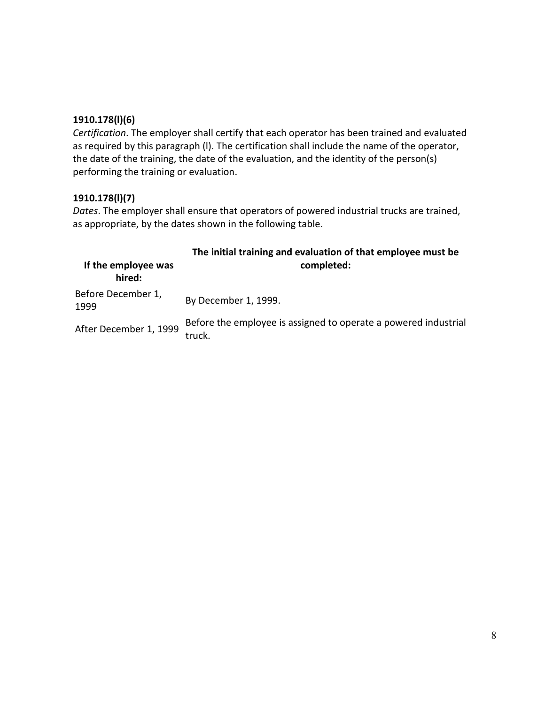### **1910.178(l)(6)**

*Certification*. The employer shall certify that each operator has been trained and evaluated as required by this paragraph (l). The certification shall include the name of the operator, the date of the training, the date of the evaluation, and the identity of the person(s) performing the training or evaluation.

# **1910.178(l)(7)**

*Dates*. The employer shall ensure that operators of powered industrial trucks are trained, as appropriate, by the dates shown in the following table.

| If the employee was<br>hired: | The initial training and evaluation of that employee must be<br>completed: |
|-------------------------------|----------------------------------------------------------------------------|
| Before December 1,<br>1999    | By December 1, 1999.                                                       |
| After December 1, 1999        | Before the employee is assigned to operate a powered industrial<br>truck.  |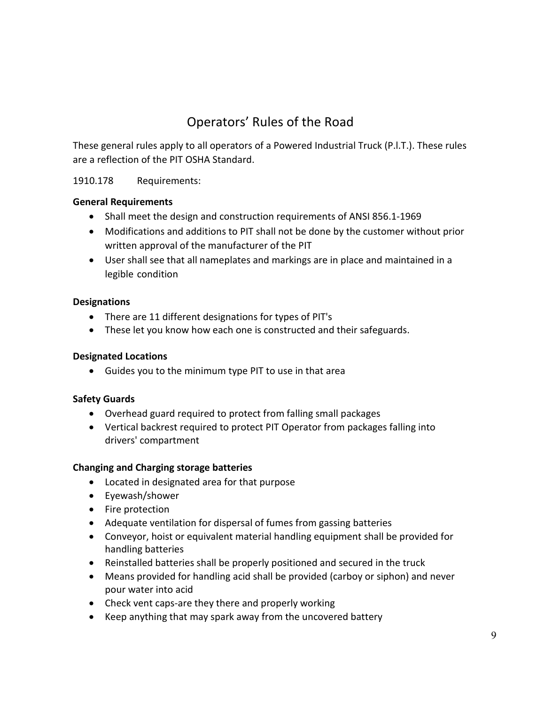# Operators' Rules of the Road

These general rules apply to all operators of a Powered Industrial Truck (P.l.T.). These rules are a reflection of the PIT OSHA Standard.

# 1910.178 Requirements:

#### **General Requirements**

- Shall meet the design and construction requirements of ANSI 856.1-1969
- Modifications and additions to PIT shall not be done by the customer without prior written approval of the manufacturer of the PIT
- User shall see that all nameplates and markings are in place and maintained in a legible condition

#### **Designations**

- There are 11 different designations for types of PIT's
- These let you know how each one is constructed and their safeguards.

#### **Designated Locations**

• Guides you to the minimum type PIT to use in that area

### **Safety Guards**

- Overhead guard required to protect from falling small packages
- Vertical backrest required to protect PIT Operator from packages falling into drivers' compartment

### **Changing and Charging storage batteries**

- Located in designated area for that purpose
- Eyewash/shower
- Fire protection
- Adequate ventilation for dispersal of fumes from gassing batteries
- Conveyor, hoist or equivalent material handling equipment shall be provided for handling batteries
- Reinstalled batteries shall be properly positioned and secured in the truck
- Means provided for handling acid shall be provided (carboy or siphon) and never pour water into acid
- Check vent caps-are they there and properly working
- Keep anything that may spark away from the uncovered battery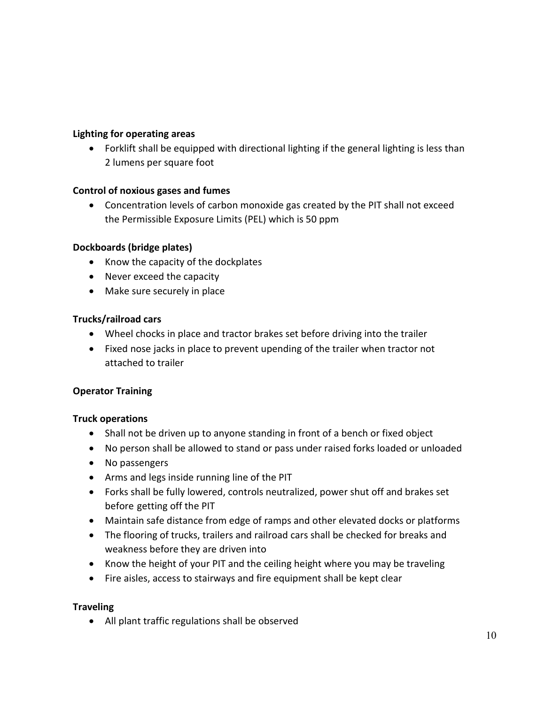#### **Lighting for operating areas**

• Forklift shall be equipped with directional lighting if the general lighting is less than 2 lumens per square foot

### **Control of noxious gases and fumes**

• Concentration levels of carbon monoxide gas created by the PIT shall not exceed the Permissible Exposure Limits (PEL) which is 50 ppm

#### **Dockboards (bridge plates)**

- Know the capacity of the dockplates
- Never exceed the capacity
- Make sure securely in place

### **Trucks/railroad cars**

- Wheel chocks in place and tractor brakes set before driving into the trailer
- Fixed nose jacks in place to prevent upending of the trailer when tractor not attached to trailer

### **Operator Training**

### **Truck operations**

- Shall not be driven up to anyone standing in front of a bench or fixed object
- No person shall be allowed to stand or pass under raised forks loaded or unloaded
- No passengers
- Arms and legs inside running line of the PIT
- Forks shall be fully lowered, controls neutralized, power shut off and brakes set before getting off the PIT
- Maintain safe distance from edge of ramps and other elevated docks or platforms
- The flooring of trucks, trailers and railroad cars shall be checked for breaks and weakness before they are driven into
- Know the height of your PIT and the ceiling height where you may be traveling
- Fire aisles, access to stairways and fire equipment shall be kept clear

### **Traveling**

• All plant traffic regulations shall be observed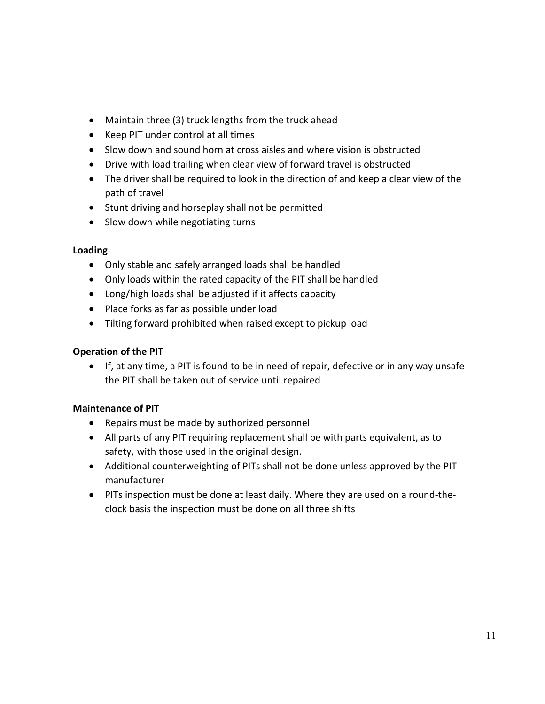- Maintain three (3) truck lengths from the truck ahead
- Keep PIT under control at all times
- Slow down and sound horn at cross aisles and where vision is obstructed
- Drive with load trailing when clear view of forward travel is obstructed
- The driver shall be required to look in the direction of and keep a clear view of the path of travel
- Stunt driving and horseplay shall not be permitted
- Slow down while negotiating turns

#### **Loading**

- Only stable and safely arranged loads shall be handled
- Only loads within the rated capacity of the PIT shall be handled
- Long/high loads shall be adjusted if it affects capacity
- Place forks as far as possible under load
- Tilting forward prohibited when raised except to pickup load

#### **Operation of the PIT**

• If, at any time, a PIT is found to be in need of repair, defective or in any way unsafe the PIT shall be taken out of service until repaired

### **Maintenance of PIT**

- Repairs must be made by authorized personnel
- All parts of any PIT requiring replacement shall be with parts equivalent, as to safety, with those used in the original design.
- Additional counterweighting of PITs shall not be done unless approved by the PIT manufacturer
- PITs inspection must be done at least daily. Where they are used on a round-theclock basis the inspection must be done on all three shifts